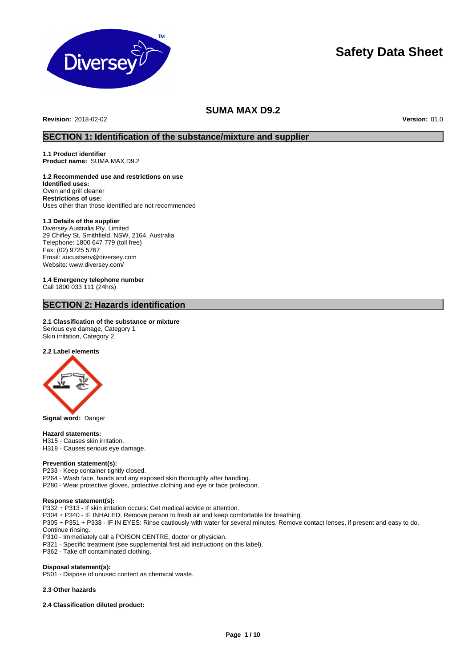

# **Safety Data Sheet**

# **SUMA MAX D9.2**

**Revision:** 2018-02-02 **Version:** 01.0

# **SECTION 1: Identification of the substance/mixture and supplier**

**1.1 Product identifier Product name:** SUMA MAX D9.2

# **1.2 Recommended use and restrictions on use**

**Identified uses:**  Oven and grill cleaner **Restrictions of use:**  Uses other than those identified are not recommended

# **1.3 Details of the supplier**

Diversey Australia Pty. Limited 29 Chifley St, Smithfield, NSW, 2164, Australia Telephone: 1800 647 779 (toll free) Fax: (02) 9725 5767 Email: aucustserv@diversey.com Website: www.diversey.com/

**1.4 Emergency telephone number** Call 1800 033 111 (24hrs)

# **SECTION 2: Hazards identification**

# **2.1 Classification of the substance or mixture**

Serious eye damage, Category 1 Skin irritation, Category 2

# **2.2 Label elements**



**Signal word:** Danger

### **Hazard statements:**

H315 - Causes skin irritation. H318 - Causes serious eye damage.

# **Prevention statement(s):**

P233 - Keep container tightly closed.

- P264 Wash face, hands and any exposed skin thoroughly after handling.
- P280 Wear protective gloves, protective clothing and eye or face protection.

#### **Response statement(s):**

P332 + P313 - If skin irritation occurs: Get medical advice or attention.

- P304 + P340 IF INHALED: Remove person to fresh air and keep comfortable for breathing.
- P305 + P351 + P338 IF IN EYES: Rinse cautiously with water for several minutes. Remove contact lenses, if present and easy to do. Continue rinsing.
- P310 Immediately call a POISON CENTRE, doctor or physician.
- P321 Specific treatment (see supplemental first aid instructions on this label).
- P362 Take off contaminated clothing.

## **Disposal statement(s):**

P501 - Dispose of unused content as chemical waste.

## **2.3 Other hazards**

**2.4 Classification diluted product:**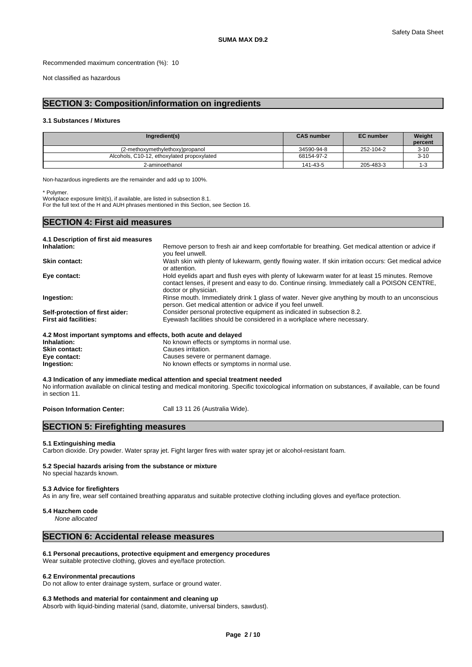Recommended maximum concentration (%): 10

Not classified as hazardous

# **SECTION 3: Composition/information on ingredients**

## **3.1 Substances / Mixtures**

| Ingredient(s)                              | <b>CAS number</b> | <b>EC</b> number | Weight<br>percent |
|--------------------------------------------|-------------------|------------------|-------------------|
| (2-methoxymethylethoxy)propanol            | 34590-94-8        | 252-104-2        | $3 - 10$          |
| Alcohols, C10-12, ethoxylated propoxylated | 68154-97-2        |                  | $3 - 10$          |
| 2-aminoethanol                             | 141-43-5          | 205-483-3        |                   |

Non-hazardous ingredients are the remainder and add up to 100%.

\* Polymer.

Workplace exposure limit(s), if available, are listed in subsection 8.1. For the full text of the H and AUH phrases mentioned in this Section, see Section 16.

# **SECTION 4: First aid measures**

| 4.1 Description of first aid measures                           |                                                                                                                                                                                                                           |
|-----------------------------------------------------------------|---------------------------------------------------------------------------------------------------------------------------------------------------------------------------------------------------------------------------|
| Inhalation:                                                     | Remove person to fresh air and keep comfortable for breathing. Get medical attention or advice if<br>vou feel unwell.                                                                                                     |
| <b>Skin contact:</b>                                            | Wash skin with plenty of lukewarm, gently flowing water. If skin irritation occurs: Get medical advice<br>or attention.                                                                                                   |
| Eye contact:                                                    | Hold eyelids apart and flush eyes with plenty of lukewarm water for at least 15 minutes. Remove<br>contact lenses, if present and easy to do. Continue rinsing. Immediately call a POISON CENTRE,<br>doctor or physician. |
| Ingestion:                                                      | Rinse mouth. Immediately drink 1 glass of water. Never give anything by mouth to an unconscious<br>person. Get medical attention or advice if you feel unwell.                                                            |
| Self-protection of first aider:                                 | Consider personal protective equipment as indicated in subsection 8.2.                                                                                                                                                    |
| <b>First aid facilities:</b>                                    | Eyewash facilities should be considered in a workplace where necessary.                                                                                                                                                   |
| 4.2 Most important symptoms and effects, both acute and delayed |                                                                                                                                                                                                                           |
| Inhalation:                                                     | No known effects or symptoms in normal use.                                                                                                                                                                               |
| Skin contact:                                                   | Causes irritation.                                                                                                                                                                                                        |

**Eye contact:** Causes severe or permanent damage. **Ingestion:** No known effects or symptoms in normal use.

**4.3 Indication of any immediate medical attention and special treatment needed** No information available on clinical testing and medical monitoring. Specific toxicological information on substances, if available, can be found in section 11.

Poison Information Center: Call 13 11 26 (Australia Wide).

# **SECTION 5: Firefighting measures**

## **5.1 Extinguishing media**

Carbon dioxide. Dry powder. Water spray jet. Fight larger fires with water spray jet or alcohol-resistant foam.

#### **5.2 Special hazards arising from the substance or mixture** No special hazards known.

## **5.3 Advice for firefighters**

As in any fire, wear self contained breathing apparatus and suitable protective clothing including gloves and eye/face protection.

### **5.4 Hazchem code**

*None allocated*

# **SECTION 6: Accidental release measures**

## **6.1 Personal precautions, protective equipment and emergency procedures**

Wear suitable protective clothing, gloves and eye/face protection.

## **6.2 Environmental precautions**

Do not allow to enter drainage system, surface or ground water.

### **6.3 Methods and material for containment and cleaning up**

Absorb with liquid-binding material (sand, diatomite, universal binders, sawdust).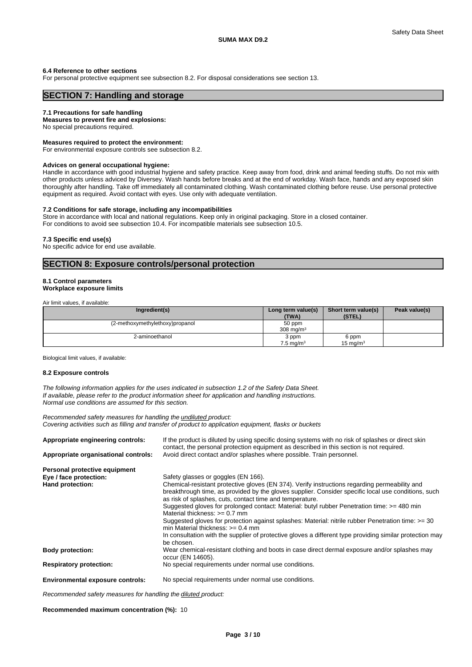### **6.4 Reference to other sections**

For personal protective equipment see subsection 8.2. For disposal considerations see section 13.

# **SECTION 7: Handling and storage**

### **7.1 Precautions for safe handling**

**Measures to prevent fire and explosions:** No special precautions required.

### **Measures required to protect the environment:**

For environmental exposure controls see subsection 8.2.

#### **Advices on general occupational hygiene:**

Handle in accordance with good industrial hygiene and safety practice. Keep away from food, drink and animal feeding stuffs. Do not mix with other products unless adviced by Diversey. Wash hands before breaks and at the end of workday. Wash face, hands and any exposed skin thoroughly after handling. Take off immediately all contaminated clothing. Wash contaminated clothing before reuse. Use personal protective equipment as required. Avoid contact with eyes. Use only with adequate ventilation.

## **7.2 Conditions for safe storage, including any incompatibilities**

Store in accordance with local and national regulations. Keep only in original packaging. Store in a closed container. For conditions to avoid see subsection 10.4. For incompatible materials see subsection 10.5.

#### **7.3 Specific end use(s)**

No specific advice for end use available.

# **SECTION 8: Exposure controls/personal protection**

### **8.1 Control parameters Workplace exposure limits**

Air limit values, if available:

| Ingredient(s)                   | Long term value(s)<br>(TWA)   | Short term value(s)<br>(STEL) | Peak value(s) |
|---------------------------------|-------------------------------|-------------------------------|---------------|
| (2-methoxymethylethoxy)propanol | 50 ppm<br>308 mg/m $3$        |                               |               |
| 2-aminoethanol                  | 3 ppm<br>$7.5 \text{ mg/m}^3$ | 6 ppm<br>15 mg/m $3$          |               |

Biological limit values, if available:

#### **8.2 Exposure controls**

*The following information applies for the uses indicated in subsection 1.2 of the Safety Data Sheet. If available, please refer to the product information sheet for application and handling instructions. Normal use conditions are assumed for this section.*

*Recommended safety measures for handling the undiluted product: Covering activities such as filling and transfer of product to application equipment, flasks or buckets*

| Appropriate engineering controls:       | If the product is diluted by using specific dosing systems with no risk of splashes or direct skin<br>contact, the personal protection equipment as described in this section is not required. |
|-----------------------------------------|------------------------------------------------------------------------------------------------------------------------------------------------------------------------------------------------|
| Appropriate organisational controls:    | Avoid direct contact and/or splashes where possible. Train personnel.                                                                                                                          |
| Personal protective equipment           |                                                                                                                                                                                                |
| Eye / face protection:                  | Safety glasses or goggles (EN 166).                                                                                                                                                            |
| Hand protection:                        | Chemical-resistant protective gloves (EN 374). Verify instructions regarding permeability and                                                                                                  |
|                                         | breakthrough time, as provided by the gloves supplier. Consider specific local use conditions, such<br>as risk of splashes, cuts, contact time and temperature.                                |
|                                         | Suggested gloves for prolonged contact: Material: butyl rubber Penetration time: >= 480 min<br>Material thickness: $>= 0.7$ mm                                                                 |
|                                         | Suggested gloves for protection against splashes: Material: nitrile rubber Penetration time: >= 30<br>min Material thickness: $>= 0.4$ mm                                                      |
|                                         | In consultation with the supplier of protective gloves a different type providing similar protection may<br>be chosen.                                                                         |
| <b>Body protection:</b>                 | Wear chemical-resistant clothing and boots in case direct dermal exposure and/or splashes may<br>occur (EN 14605).                                                                             |
| <b>Respiratory protection:</b>          | No special requirements under normal use conditions.                                                                                                                                           |
| <b>Environmental exposure controls:</b> | No special requirements under normal use conditions.                                                                                                                                           |
|                                         |                                                                                                                                                                                                |

*Recommended safety measures for handling the diluted product:*

**Recommended maximum concentration (%):** 10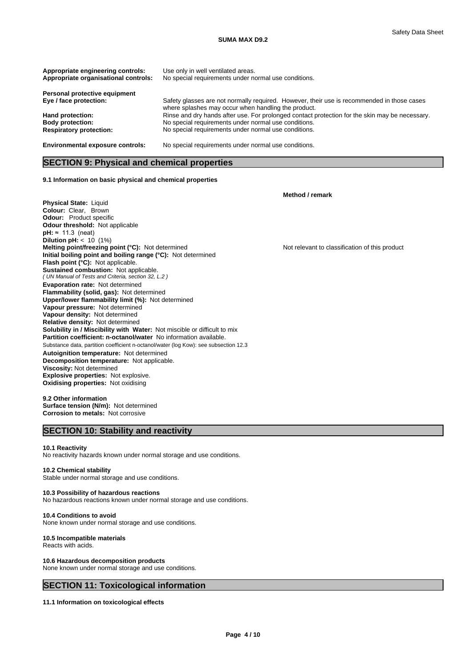### **SUMA MAX D9.2**

| Appropriate engineering controls:<br>Appropriate organisational controls: | Use only in well ventilated areas.<br>No special requirements under normal use conditions.                                                        |
|---------------------------------------------------------------------------|---------------------------------------------------------------------------------------------------------------------------------------------------|
| Personal protective equipment                                             |                                                                                                                                                   |
| Eye / face protection:                                                    | Safety glasses are not normally required. However, their use is recommended in those cases<br>where splashes may occur when handling the product. |
| Hand protection:                                                          | Rinse and dry hands after use. For prolonged contact protection for the skin may be necessary.                                                    |
| <b>Body protection:</b>                                                   | No special requirements under normal use conditions.                                                                                              |
| <b>Respiratory protection:</b>                                            | No special requirements under normal use conditions.                                                                                              |
| <b>Environmental exposure controls:</b>                                   | No special requirements under normal use conditions.                                                                                              |

# **SECTION 9: Physical and chemical properties**

### **9.1 Information on basic physical and chemical properties**

**Physical State:** Liquid **Colour:** Clear, Brown **Odour:** Product specific **Odour threshold:** Not applicable *( UN Manual of Tests and Criteria, section 32, L.2 )* **Solubility in / Miscibility with Water:** Not miscible or difficult to mix Substance data, partition coefficient n-octanol/water (log Kow): see subsection 12.3 **Decomposition temperature:** Not applicable. **pH:** ≈ 11.3 (neat) **Dilution pH:** < 10 (1%) **Melting point/freezing point (°C):** Not determined Not relevant to classification of this product **Initial boiling point and boiling range (°C):** Not determined **Flash point (°C):** Not applicable. **Sustained combustion:** Not applicable. **Evaporation rate:** Not determined **Flammability (solid, gas):** Not determined **Upper/lower flammability limit (%):** Not determined **Vapour pressure:** Not determined **Vapour density:** Not determined **Relative density:** Not determined **Partition coefficient: n-octanol/water** No information available. **Autoignition temperature:** Not determined **Viscosity:** Not determined **Explosive properties:** Not explosive. **Oxidising properties:** Not oxidising

**9.2 Other information Surface tension (N/m):** Not determined **Corrosion to metals:** Not corrosive

# **SECTION 10: Stability and reactivity**

#### **10.1 Reactivity**

No reactivity hazards known under normal storage and use conditions.

#### **10.2 Chemical stability** Stable under normal storage and use conditions.

## **10.3 Possibility of hazardous reactions**

No hazardous reactions known under normal storage and use conditions.

## **10.4 Conditions to avoid**

None known under normal storage and use conditions.

### **10.5 Incompatible materials**

Reacts with acids.

### **10.6 Hazardous decomposition products**

None known under normal storage and use conditions.

# **SECTION 11: Toxicological information**

## **11.1 Information on toxicological effects**

**Method / remark**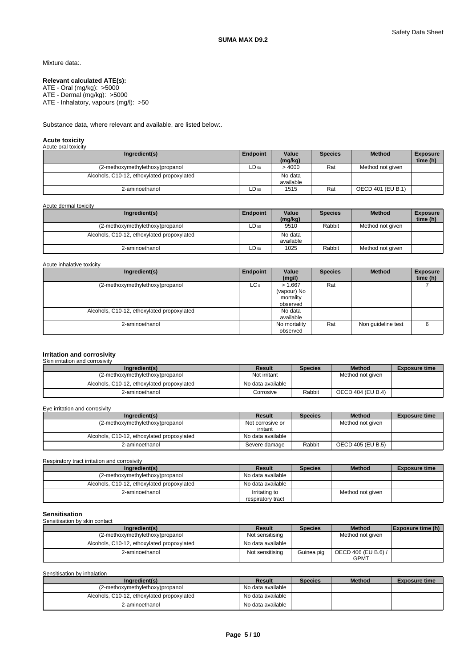## Mixture data:.

### **Relevant calculated ATE(s):**

ATE - Oral (mg/kg): >5000 ATE - Dermal (mg/kg): >5000 ATE - Inhalatory, vapours (mg/l): >50

Substance data, where relevant and available, are listed below:.

# **Acute toxicity** Acute oral toxicity

| Ingredient(s)                              | Endpoint  | Value<br>(mg/kg)     | <b>Species</b> | <b>Method</b>     | <b>Exposure</b><br>time (h) |
|--------------------------------------------|-----------|----------------------|----------------|-------------------|-----------------------------|
| (2-methoxymethylethoxy)propanol            | $LD_{50}$ | >4000                | Rat            | Method not given  |                             |
| Alcohols, C10-12, ethoxylated propoxylated |           | No data<br>available |                |                   |                             |
| 2-aminoethanol                             | $LD_{50}$ | 1515                 | Rat            | OECD 401 (EU B.1) |                             |

Acute dermal toxicity

| Ingredient(s)                              | <b>Endpoint</b> | Value<br>(mg/kg)     | <b>Species</b> | <b>Method</b>    | <b>Exposure</b><br>time (h) |
|--------------------------------------------|-----------------|----------------------|----------------|------------------|-----------------------------|
| (2-methoxymethylethoxy)propanol            | ∟D 50           | 9510                 | Rabbit         | Method not aiven |                             |
| Alcohols, C10-12, ethoxylated propoxylated |                 | No data<br>available |                |                  |                             |
| 2-aminoethanol                             | ∟D 50           | 1025                 | Rabbit         | Method not given |                             |

Acute inhalative toxicity

| Ingredient(s)                              | Endpoint        | Value<br>(mg/l)                                 | <b>Species</b> | <b>Method</b>      | <b>Exposure</b><br>time (h) |
|--------------------------------------------|-----------------|-------------------------------------------------|----------------|--------------------|-----------------------------|
| (2-methoxymethylethoxy)propanol            | LC <sub>0</sub> | > 1.667<br>(vapour) No<br>mortality<br>observed | Rat            |                    |                             |
| Alcohols, C10-12, ethoxylated propoxylated |                 | No data<br>available                            |                |                    |                             |
| 2-aminoethanol                             |                 | No mortality<br>observed                        | Rat            | Non quideline test | 6                           |

# **Irritation and corrosivity** Skin irritation and corrosivity

| Ingredient(s)                              | Result            | <b>Species</b> | <b>Method</b>     | <b>Exposure time</b> |
|--------------------------------------------|-------------------|----------------|-------------------|----------------------|
| (2-methoxymethylethoxy)propanol            | Not irritant      |                | Method not given  |                      |
| Alcohols, C10-12, ethoxylated propoxylated | No data available |                |                   |                      |
| 2-aminoethanol                             | Corrosive         | Rabbit         | OECD 404 (EU B.4) |                      |

Eye irritation and corrosivity

| Ingredient(s)                              | Result                       | <b>Species</b> | <b>Method</b>     | <b>Exposure time</b> |
|--------------------------------------------|------------------------------|----------------|-------------------|----------------------|
| (2-methoxymethylethoxy)propanol            | Not corrosive or<br>irritant |                | Method not given  |                      |
| Alcohols, C10-12, ethoxylated propoxylated | No data available            |                |                   |                      |
| 2-aminoethanol                             | Severe damage                | Rabbit         | OECD 405 (EU B.5) |                      |

Respiratory tract irritation and corrosivity

| Ingredient(s)                              | Result                             | <b>Species</b> | <b>Method</b>    | <b>Exposure time</b> |
|--------------------------------------------|------------------------------------|----------------|------------------|----------------------|
| (2-methoxymethylethoxy)propanol            | No data available                  |                |                  |                      |
| Alcohols, C10-12, ethoxylated propoxylated | No data available                  |                |                  |                      |
| 2-aminoethanol                             | Irritating to<br>respiratory tract |                | Method not given |                      |

# **Sensitisation** Sensitisation by skin contact

| Ingredient(s)                              | <b>Result</b>     | <b>Species</b> | <b>Method</b>                      | <b>Exposure time (h)</b> |
|--------------------------------------------|-------------------|----------------|------------------------------------|--------------------------|
| (2-methoxymethylethoxy)propanol            | Not sensitising   |                | Method not aiven                   |                          |
| Alcohols, C10-12, ethoxylated propoxylated | No data available |                |                                    |                          |
| 2-aminoethanol                             | Not sensitising   | Guinea pig     | OECD 406 (EU B.6) /<br><b>GPMT</b> |                          |

Sensitisation by inhalation

| Ingredient(s)                              | Result            | <b>Species</b> | <b>Method</b> | <b>Exposure time</b> |
|--------------------------------------------|-------------------|----------------|---------------|----------------------|
| (2-methoxymethylethoxy)propanol            | No data available |                |               |                      |
| Alcohols, C10-12, ethoxylated propoxylated | No data available |                |               |                      |
| 2-aminoethanol                             | No data available |                |               |                      |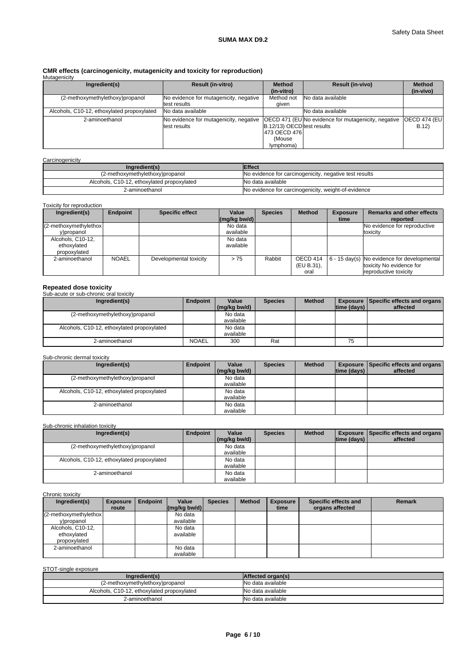# **CMR effects (carcinogenicity, mutagenicity and toxicity for reproduction)** Mutagenicity

| <b>Mulagericity</b>                        |                                        |                                   |                                                            |                       |
|--------------------------------------------|----------------------------------------|-----------------------------------|------------------------------------------------------------|-----------------------|
| Ingredient(s)                              | <b>Result (in-vitro)</b>               | <b>Method</b>                     | <b>Result (in-vivo)</b>                                    | <b>Method</b>         |
|                                            |                                        | (in-vitro)                        |                                                            | (in-vivo)             |
| (2-methoxymethylethoxy)propanol            | No evidence for mutagenicity, negative | Method not                        | No data available                                          |                       |
|                                            | test results                           | given                             |                                                            |                       |
| Alcohols, C10-12, ethoxylated propoxylated | No data available                      |                                   | No data available                                          |                       |
| 2-aminoethanol                             | No evidence for mutagenicity, negative |                                   | <b>OECD 471 (EU No evidence for mutagenicity, negative</b> | <b>IOECD 474 (EUI</b> |
|                                            | test results                           | <b>B.12/13) OECDItest results</b> |                                                            | B.12                  |
|                                            |                                        | 1473 OECD 4761                    |                                                            |                       |
|                                            |                                        | (Mouse                            |                                                            |                       |
|                                            |                                        | lymphoma)                         |                                                            |                       |

## **Carcinogenicity**

| Ingredient(s)                              | <b>Effect</b>                                          |
|--------------------------------------------|--------------------------------------------------------|
| (2-methoxymethylethoxy)propanol            | No evidence for carcinogenicity, negative test results |
| Alcohols, C10-12, ethoxylated propoxylated | No data available                                      |
| 2-aminoethanol                             | No evidence for carcinogenicity, weight-of-evidence    |

# Toxicity for reproduction

| Ingredient(s)          | <b>Endpoint</b> | <b>Specific effect</b> | Value<br>$(mq/kg$ bw/d) | <b>Species</b> | <b>Method</b> | <b>Exposure</b><br>time | <b>Remarks and other effects</b><br>reported                         |
|------------------------|-----------------|------------------------|-------------------------|----------------|---------------|-------------------------|----------------------------------------------------------------------|
| (2-methoxymethylethox) |                 |                        | No data                 |                |               |                         | No evidence for reproductive                                         |
| y)propanol             |                 |                        | available               |                |               |                         | toxicity                                                             |
| Alcohols, C10-12.      |                 |                        | No data                 |                |               |                         |                                                                      |
| ethoxylated            |                 |                        | available               |                |               |                         |                                                                      |
| propoxylated           |                 |                        |                         |                |               |                         |                                                                      |
| 2-aminoethanol         | <b>NOAEL</b>    | Developmental toxicity | > 75                    | Rabbit         | OECD 414      |                         | $\left  6 - 15 \text{ day(s)} \right $ No evidence for developmental |
|                        |                 |                        |                         |                | (EU B.31),    |                         | toxicity No evidence for                                             |
|                        |                 |                        |                         |                | oral          |                         | reproductive toxicity                                                |

# **Repeated dose toxicity** Sub-acute or sub-chronic oral toxicity

| <u>UUD-ACULE OF SUD-CHIUHIC UITAL IUAICILY</u> |                 |              |                |               |                    |                                                 |
|------------------------------------------------|-----------------|--------------|----------------|---------------|--------------------|-------------------------------------------------|
| Ingredient(s)                                  | <b>Endpoint</b> | Value        | <b>Species</b> | <b>Method</b> |                    | <b>Exposure   Specific effects and organs  </b> |
|                                                |                 | (mg/kg bw/d) |                |               | $ time$ (days) $ $ | affected                                        |
| (2-methoxymethylethoxy)propanol                |                 | No data      |                |               |                    |                                                 |
|                                                |                 | available    |                |               |                    |                                                 |
| Alcohols, C10-12, ethoxylated propoxylated     |                 | No data      |                |               |                    |                                                 |
|                                                |                 | available    |                |               |                    |                                                 |
| 2-aminoethanol                                 | <b>NOAEL</b>    | 300          | Rat            |               | 75                 |                                                 |
|                                                |                 |              |                |               |                    |                                                 |

## Sub-chronic dermal toxicity

| Ingredient(s)                              | Endpoint | Value        | <b>Species</b> | <b>Method</b> |                    | <b>Exposure   Specific effects and organs  </b> |
|--------------------------------------------|----------|--------------|----------------|---------------|--------------------|-------------------------------------------------|
|                                            |          | (mg/kg bw/d) |                |               | $ time$ (days) $ $ | affected                                        |
| (2-methoxymethylethoxy)propanol            |          | No data      |                |               |                    |                                                 |
|                                            |          | available    |                |               |                    |                                                 |
| Alcohols, C10-12, ethoxylated propoxylated |          | No data      |                |               |                    |                                                 |
|                                            |          | available    |                |               |                    |                                                 |
| 2-aminoethanol                             |          | No data      |                |               |                    |                                                 |
|                                            |          | available    |                |               |                    |                                                 |

## Sub-chronic inhalation toxicity

| Ingredient(s)                              | Endpoint | Value        | <b>Species</b> | <b>Method</b> |                    | <b>Exposure   Specific effects and organs  </b> |
|--------------------------------------------|----------|--------------|----------------|---------------|--------------------|-------------------------------------------------|
|                                            |          | (mg/kg bw/d) |                |               | $ time$ (days) $ $ | affected                                        |
| (2-methoxymethylethoxy)propanol            |          | No data      |                |               |                    |                                                 |
|                                            |          | available    |                |               |                    |                                                 |
| Alcohols, C10-12, ethoxylated propoxylated |          | No data      |                |               |                    |                                                 |
|                                            |          | available    |                |               |                    |                                                 |
| 2-aminoethanol                             |          | No data      |                |               |                    |                                                 |
|                                            |          | available    |                |               |                    |                                                 |

## Chronic toxicity

| Ingredient(s)          | <b>Exposure</b> | Endpoint | Value                                      | <b>Species</b> | <b>Method</b> | <b>Exposure</b> | Specific effects and | <b>Remark</b> |
|------------------------|-----------------|----------|--------------------------------------------|----------------|---------------|-----------------|----------------------|---------------|
|                        | route           |          | $\left \frac{\text{mg}}{\text{kg}}\right $ |                |               | time            | organs affected      |               |
| (2-methoxymethylethox) |                 |          | No data                                    |                |               |                 |                      |               |
| y)propanol             |                 |          | available                                  |                |               |                 |                      |               |
| Alcohols, C10-12,      |                 |          | No data                                    |                |               |                 |                      |               |
| ethoxylated            |                 |          | available                                  |                |               |                 |                      |               |
| propoxylated           |                 |          |                                            |                |               |                 |                      |               |
| 2-aminoethanol         |                 |          | No data                                    |                |               |                 |                      |               |
|                        |                 |          | available                                  |                |               |                 |                      |               |

STOT-single exposure

| Ingredient(s)                              | Affected organ(s) |
|--------------------------------------------|-------------------|
| (2-methoxymethylethoxy)propanol            | No data available |
| Alcohols, C10-12, ethoxylated propoxylated | No data available |
| 2-aminoethanol                             | No data available |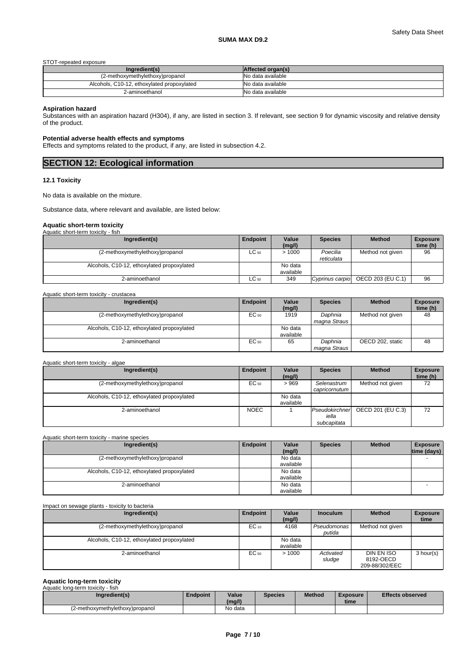## STOT-repeated exposure

| Ingredient(s)                              | Affected organ(s) |
|--------------------------------------------|-------------------|
| (2-methoxymethylethoxy)propanol            | No data available |
| Alcohols, C10-12, ethoxylated propoxylated | No data available |
| 2-aminoethanol                             | No data available |

#### **Aspiration hazard**

Substances with an aspiration hazard (H304), if any, are listed in section 3. If relevant, see section 9 for dynamic viscosity and relative density of the product.

### **Potential adverse health effects and symptoms**

Effects and symptoms related to the product, if any, are listed in subsection 4.2.

| <b>SECTION 12: Ecological information</b> |  |
|-------------------------------------------|--|
|                                           |  |

## **12.1 Toxicity**

No data is available on the mixture.

Substance data, where relevant and available, are listed below:

# **Aquatic short-term toxicity**

| Aquatic short-term toxicity - fish         |           |                      |                        |                   |                             |
|--------------------------------------------|-----------|----------------------|------------------------|-------------------|-----------------------------|
| Ingredient(s)                              | Endpoint  | Value<br>(mg/l)      | <b>Species</b>         | <b>Method</b>     | <b>Exposure</b><br>time (h) |
| (2-methoxymethylethoxy)propanol            | $LC_{50}$ | >1000                | Poecilia<br>reticulata | Method not given  | 96                          |
| Alcohols, C10-12, ethoxylated propoxylated |           | No data<br>available |                        |                   |                             |
| 2-aminoethanol                             | $LC_{50}$ | 349                  | Cyprinus carpio        | OECD 203 (EU C.1) | 96                          |

| Aquatic short-term toxicity - crustacea    |           |                      |                         |                  |                             |
|--------------------------------------------|-----------|----------------------|-------------------------|------------------|-----------------------------|
| Ingredient(s)                              | Endpoint  | Value<br>(mg/l)      | <b>Species</b>          | <b>Method</b>    | <b>Exposure</b><br>time (h) |
| (2-methoxymethylethoxy)propanol            | $EC_{50}$ | 1919                 | Daphnia<br>magna Straus | Method not given | 48                          |
| Alcohols, C10-12, ethoxylated propoxylated |           | No data<br>available |                         |                  |                             |
| 2-aminoethanol                             | $EC_{50}$ | 65                   | Daphnia<br>magna Straus | OECD 202. static | 48                          |

#### Aquatic short-term toxicity - algae

| Ingredient(s)                              | Endpoint    | Value<br>(mg/l)      | <b>Species</b>                         | <b>Method</b>     | <b>Exposure</b><br>time (h) |
|--------------------------------------------|-------------|----------------------|----------------------------------------|-------------------|-----------------------------|
| (2-methoxymethylethoxy)propanol            | EC 50       | >969                 | Selenastrum<br>capricornutum           | Method not given  | 72                          |
| Alcohols, C10-12, ethoxylated propoxylated |             | No data<br>available |                                        |                   |                             |
| 2-aminoethanol                             | <b>NOEC</b> |                      | Pseudokirchner<br>iella<br>subcapitata | OECD 201 (EU C.3) | 72                          |

## Aquatic short-term toxicity - marine species

| Ingredient(s)                              | Endpoint | Value<br>(mq/l) | <b>Species</b> | <b>Method</b> | <b>Exposure</b><br> time (days) |  |
|--------------------------------------------|----------|-----------------|----------------|---------------|---------------------------------|--|
| (2-methoxymethylethoxy)propanol            |          | No data         |                |               |                                 |  |
|                                            |          | available       |                |               |                                 |  |
| Alcohols, C10-12, ethoxylated propoxylated |          | No data         |                |               |                                 |  |
|                                            |          | available       |                |               |                                 |  |
| 2-aminoethanol                             |          | No data         |                |               |                                 |  |
|                                            |          | available       |                |               |                                 |  |

| Impact on sewage plants - toxicity to bacteria |           |                      |                       |                                           |                         |
|------------------------------------------------|-----------|----------------------|-----------------------|-------------------------------------------|-------------------------|
| Ingredient(s)                                  | Endpoint  | Value<br>(mg/l)      | <b>Inoculum</b>       | <b>Method</b>                             | <b>Exposure</b><br>time |
| (2-methoxymethylethoxy)propanol                | $EC_{10}$ | 4168                 | Pseudomonas<br>putida | Method not given                          |                         |
| Alcohols, C10-12, ethoxylated propoxylated     |           | No data<br>available |                       |                                           |                         |
| 2-aminoethanol                                 | EC 50     | >1000                | Activated<br>sludge   | DIN EN ISO<br>8192-OECD<br>209-88/302/EEC | 3 hour(s)               |

#### **Aquatic long-term toxicity**

|  | Aquatic long-term toxicity - fish |
|--|-----------------------------------|

| Ingredient(s)                   | <b>Endpoint</b> | Value<br>(mg/l) | <b>Species</b> | <b>Method</b> | <b>Exposure</b><br>time | <b>Effects observed</b> |
|---------------------------------|-----------------|-----------------|----------------|---------------|-------------------------|-------------------------|
| (2-methoxymethylethoxy)propanol |                 | No data         |                |               |                         |                         |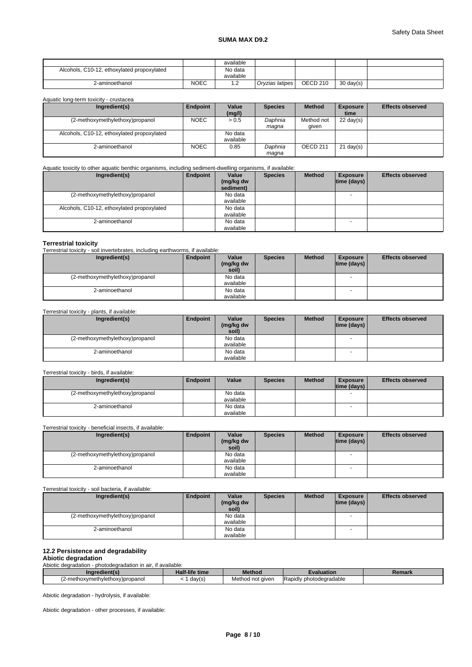# **SUMA MAX D9.2**

|                                            |      | available    |                 |                 |           |  |
|--------------------------------------------|------|--------------|-----------------|-----------------|-----------|--|
| Alcohols, C10-12, ethoxylated propoxylated |      | No data      |                 |                 |           |  |
|                                            |      | available    |                 |                 |           |  |
| 2-aminoethanol                             | NOEC | . . <u>.</u> | Oryzias latipes | <b>OECD 210</b> | 30 day(s) |  |

Aquatic long-term toxicity - crustacea

| Ingredient(s)                              | Endpoint    | Value<br>(mg/l)      | <b>Species</b>   | <b>Method</b>       | <b>Exposure</b><br>time | <b>Effects observed</b> |
|--------------------------------------------|-------------|----------------------|------------------|---------------------|-------------------------|-------------------------|
| (2-methoxymethylethoxy)propanol            | <b>NOEC</b> | > 0.5                | Daphnia<br>maqna | Method not<br>given | $22 \text{ day}(s)$     |                         |
| Alcohols, C10-12, ethoxylated propoxylated |             | No data<br>available |                  |                     |                         |                         |
| 2-aminoethanol                             | <b>NOEC</b> | 0.85                 | Daphnia<br>maqna | OECD <sub>211</sub> | $21$ day(s)             |                         |

Aquatic toxicity to other aquatic benthic organisms, including sediment-dwelling organisms, if available:

| Ingredient(s)                              | Endpoint | Value<br>(mg/kg dw<br>sediment) | <b>Species</b> | <b>Method</b> | <b>Exposure</b><br>$ time$ (days) $ $ | <b>Effects observed</b> |
|--------------------------------------------|----------|---------------------------------|----------------|---------------|---------------------------------------|-------------------------|
| (2-methoxymethylethoxy)propanol            |          | No data<br>available            |                |               | <b>.</b>                              |                         |
| Alcohols, C10-12, ethoxylated propoxylated |          | No data<br>available            |                |               |                                       |                         |
| 2-aminoethanol                             |          | No data<br>available            |                |               |                                       |                         |

## **Terrestrial toxicity**

Terrestrial toxicity - soil invertebrates, including earthworms, if available:

| Ingredient(s)                   | Endpoint | Value     | <b>Species</b> | <b>Method</b> | <b>Exposure</b>          | <b>Effects observed</b> |
|---------------------------------|----------|-----------|----------------|---------------|--------------------------|-------------------------|
|                                 |          | (mg/kg dw |                |               | time (days)              |                         |
|                                 |          | soil)     |                |               |                          |                         |
| (2-methoxymethylethoxy)propanol |          | No data   |                |               | $\overline{\phantom{a}}$ |                         |
|                                 |          | available |                |               |                          |                         |
| 2-aminoethanol                  |          | No data   |                |               |                          |                         |
|                                 |          | available |                |               |                          |                         |

## Terrestrial toxicity - plants, if available:

| Ingredient(s)                   | Endpoint | Value     | <b>Species</b> | <b>Method</b> | Exposure           | <b>Effects observed</b> |
|---------------------------------|----------|-----------|----------------|---------------|--------------------|-------------------------|
|                                 |          | (mg/kg dw |                |               | $ time$ (days) $ $ |                         |
|                                 |          | soil)     |                |               |                    |                         |
| (2-methoxymethylethoxy)propanol |          | No data   |                |               | . .                |                         |
|                                 |          | available |                |               |                    |                         |
| 2-aminoethanol                  |          | No data   |                |               |                    |                         |
|                                 |          | available |                |               |                    |                         |

Terrestrial toxicity - birds, if available:

| Ingredient(s)                   | Endpoint | Value     | <b>Species</b> | <b>Method</b> | <b>Exposure</b> | <b>Effects observed</b> |
|---------------------------------|----------|-----------|----------------|---------------|-----------------|-------------------------|
|                                 |          |           |                |               | Itime (davs) I  |                         |
| (2-methoxymethylethoxy)propanol |          | No data   |                |               |                 |                         |
|                                 |          | available |                |               |                 |                         |
| 2-aminoethanol                  |          | No data   |                |               |                 |                         |
|                                 |          | available |                |               |                 |                         |

Terrestrial toxicity - beneficial insects, if available:

| Ingredient(s)                   | Endpoint | Value     | <b>Species</b> | <b>Method</b> | <b>Exposure</b> | <b>Effects observed</b> |
|---------------------------------|----------|-----------|----------------|---------------|-----------------|-------------------------|
|                                 |          | (mg/kg dw |                |               | time (days)     |                         |
|                                 |          | soil)     |                |               |                 |                         |
| (2-methoxymethylethoxy)propanol |          | No data   |                |               |                 |                         |
|                                 |          | available |                |               |                 |                         |
| 2-aminoethanol                  |          | No data   |                |               |                 |                         |
|                                 |          | available |                |               |                 |                         |

Terrestrial toxicity - soil bacteria, if available:

| Ingredient(s)                   | Endpoint | Value     | <b>Species</b> | <b>Method</b> | <b>Exposure</b> | <b>Effects observed</b> |
|---------------------------------|----------|-----------|----------------|---------------|-----------------|-------------------------|
|                                 |          | (mg/kg dw |                |               | time (days)     |                         |
|                                 |          | soil)     |                |               |                 |                         |
| (2-methoxymethylethoxy)propanol |          | No data   |                |               |                 |                         |
|                                 |          | available |                |               |                 |                         |
| 2-aminoethanol                  |          | No data   |                |               |                 |                         |
|                                 |          | available |                |               |                 |                         |

# **12.2 Persistence and degradability**

**Abiotic degradation** Abiotic degradation - photodegradation in air, if available:

| Ingredient(s)                      | Half-life time | Method           | Evaluation                    | Remark |
|------------------------------------|----------------|------------------|-------------------------------|--------|
| 2-meth<br>oxymethylethoxy)propanol | day(s)         | Method not given | .<br>IRapidly photodegradable |        |

Abiotic degradation - hydrolysis, if available:

Abiotic degradation - other processes, if available: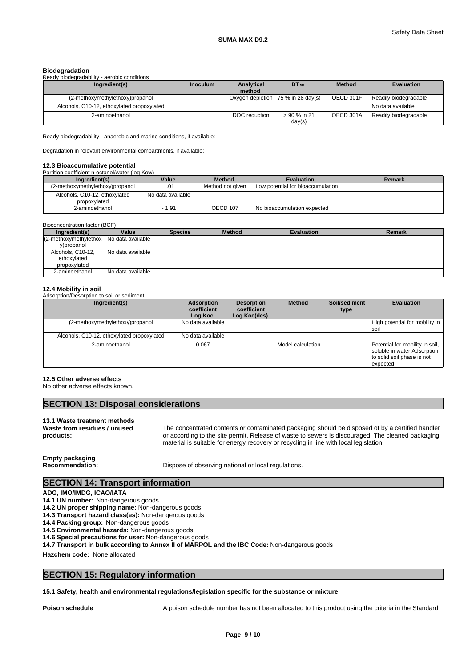### **Biodegradation**

| Ready biodegradability - aerobic conditions |                 |                      |                                      |               |                       |
|---------------------------------------------|-----------------|----------------------|--------------------------------------|---------------|-----------------------|
| Ingredient(s)                               | <b>Inoculum</b> | Analytical<br>method | $DT_{50}$                            | <b>Method</b> | <b>Evaluation</b>     |
| (2-methoxymethylethoxy)propanol             |                 |                      | Oxygen depletion   75 % in 28 day(s) | OECD 301F     | Readily biodegradable |
| Alcohols, C10-12, ethoxylated propoxylated  |                 |                      |                                      |               | No data available     |
| 2-aminoethanol                              |                 | DOC reduction        | > 90 % in 21<br>day(s)               | OECD 301A     | Readily biodegradable |

Ready biodegradability - anaerobic and marine conditions, if available:

Degradation in relevant environmental compartments, if available:

#### **12.3 Bioaccumulative potential**

| Partition coefficient n-octanol/water (log Kow) |                   |                  |                                   |        |
|-------------------------------------------------|-------------------|------------------|-----------------------------------|--------|
| Ingredient(s)                                   | Value             | <b>Method</b>    | <b>Evaluation</b>                 | Remark |
| (2-methoxymethylethoxy)propanol                 | 1.01              | Method not given | Low potential for bioaccumulation |        |
| Alcohols, C10-12, ethoxylated                   | No data available |                  |                                   |        |
| propoxylated                                    |                   |                  |                                   |        |
| 2-aminoethanol                                  | $-1.91$           | OECD 107         | No bioaccumulation expected       |        |

| Bioconcentration factor (BCF)                     |                   |                |               |                   |        |
|---------------------------------------------------|-------------------|----------------|---------------|-------------------|--------|
| Ingredient(s)                                     | Value             | <b>Species</b> | <b>Method</b> | <b>Evaluation</b> | Remark |
| $(2$ -methoxymethylethox $\log$ No data available |                   |                |               |                   |        |
| y)propanol                                        |                   |                |               |                   |        |
| Alcohols, C10-12,                                 | No data available |                |               |                   |        |
| ethoxylated                                       |                   |                |               |                   |        |
| propoxylated                                      |                   |                |               |                   |        |
| 2-aminoethanol                                    | No data available |                |               |                   |        |

## **12.4 Mobility in soil**

Adsorption/Desorption to soil or sediment

| Ingredient(s)                              | Adsorption<br>coefficient<br>Log Koc | <b>Desorption</b><br>coefficient<br>Log Koc(des) | <b>Method</b>     | Soil/sediment<br>type | <b>Evaluation</b>                                                                                        |
|--------------------------------------------|--------------------------------------|--------------------------------------------------|-------------------|-----------------------|----------------------------------------------------------------------------------------------------------|
| (2-methoxymethylethoxy)propanol            | No data available                    |                                                  |                   |                       | High potential for mobility in<br><b>Isoi</b>                                                            |
| Alcohols, C10-12, ethoxylated propoxylated | l No data available                  |                                                  |                   |                       |                                                                                                          |
| 2-aminoethanol                             | 0.067                                |                                                  | Model calculation |                       | Potential for mobility in soil,<br>soluble in water Adsorption<br>to solid soil phase is not<br>expected |

#### **12.5 Other adverse effects**

No other adverse effects known.

# **SECTION 13: Disposal considerations**

### **13.1 Waste treatment methods Waste from residues / unused products:**

The concentrated contents or contaminated packaging should be disposed of by a certified handler or according to the site permit. Release of waste to sewers is discouraged. The cleaned packaging material is suitable for energy recovery or recycling in line with local legislation.

# **Empty packaging**

**Recommendation:** Dispose of observing national or local regulations.

# **SECTION 14: Transport information**

#### **ADG, IMO/IMDG, ICAO/IATA**

- **14.1 UN number:** Non-dangerous goods
- **14.2 UN proper shipping name:** Non-dangerous goods
- **14.3 Transport hazard class(es):** Non-dangerous goods
- **14.4 Packing group:** Non-dangerous goods
- **14.5 Environmental hazards:** Non-dangerous goods
- **14.6 Special precautions for user:** Non-dangerous goods

**14.7 Transport in bulk according to Annex II of MARPOL and the IBC Code:** Non-dangerous goods

**Hazchem code:** None allocated

# **SECTION 15: Regulatory information**

#### **15.1 Safety, health and environmental regulations/legislation specific for the substance or mixture**

**Poison schedule A** poison schedule number has not been allocated to this product using the criteria in the Standard